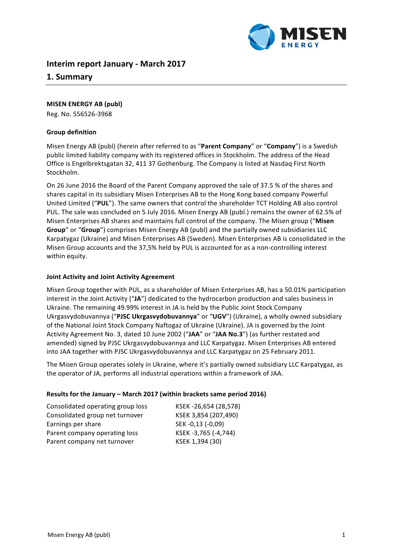

# **Interim report January - March 2017**

# **1. Summary**

## **MISEN ENERGY AB (publ)**

Reg. No. 556526-3968

## **Group definition**

Misen Energy AB (publ) (herein after referred to as "Parent Company" or "Company") is a Swedish public limited liability company with its registered offices in Stockholm. The address of the Head Office is Engelbrektsgatan 32, 411 37 Gothenburg. The Company is listed at Nasdaq First North Stockholm. 

On 26 June 2016 the Board of the Parent Company approved the sale of 37.5 % of the shares and shares capital in its subsidiary Misen Enterprises AB to the Hong Kong based company Powerful United Limited ("PUL"). The same owners that control the shareholder TCT Holding AB also control PUL. The sale was concluded on 5 July 2016. Misen Energy AB (publ.) remains the owner of 62.5% of Misen Enterprises AB shares and maintains full control of the company. The Misen group ("Misen **Group**" or "**Group**") comprises Misen Energy AB (publ) and the partially owned subsidiaries LLC Karpatygaz (Ukraine) and Misen Enterprises AB (Sweden). Misen Enterprises AB is consolidated in the Misen Group accounts and the 37,5% held by PUL is accounted for as a non-controlling interest within equity.

#### **Joint Activity and Joint Activity Agreement**

Misen Group together with PUL, as a shareholder of Misen Enterprises AB, has a 50.01% participation interest in the Joint Activity ("JA") dedicated to the hydrocarbon production and sales business in Ukraine. The remaining 49.99% interest in JA is held by the Public Joint Stock Company Ukrgasvydobuvannya ("PJSC Ukrgasvydobuvannya" or "UGV") (Ukraine), a wholly owned subsidiary of the National Joint Stock Company Naftogaz of Ukraine (Ukraine). JA is governed by the Joint Activity Agreement No. 3, dated 10 June 2002 ("JAA" or "JAA No.3") (as further restated and amended) signed by PJSC Ukrgasvydobuvannya and LLC Karpatygaz. Misen Enterprises AB entered into JAA together with PJSC Ukrgasvydobuvannya and LLC Karpatygaz on 25 February 2011.

The Misen Group operates solely in Ukraine, where it's partially owned subsidiary LLC Karpatygaz, as the operator of JA, performs all industrial operations within a framework of JAA.

#### Results for the January – March 2017 (within brackets same period 2016)

| Consolidated operating group loss | KSEK-26,654 (28,578) |
|-----------------------------------|----------------------|
| Consolidated group net turnover   | KSEK 3,854 (207,490) |
| Earnings per share                | SEK-0,13 (-0,09)     |
| Parent company operating loss     | KSEK-3,765 (-4,744)  |
| Parent company net turnover       | KSEK 1,394 (30)      |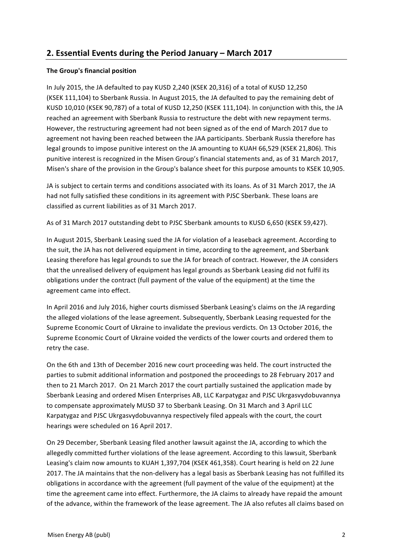# **2. Essential Events during the Period January – March 2017**

# **The Group's financial position**

In July 2015, the JA defaulted to pay KUSD 2,240 (KSEK 20,316) of a total of KUSD 12,250 (KSEK 111,104) to Sberbank Russia. In August 2015, the JA defaulted to pay the remaining debt of KUSD 10,010 (KSEK 90,787) of a total of KUSD 12,250 (KSEK 111,104). In conjunction with this, the JA reached an agreement with Sberbank Russia to restructure the debt with new repayment terms. However, the restructuring agreement had not been signed as of the end of March 2017 due to agreement not having been reached between the JAA participants. Sberbank Russia therefore has legal grounds to impose punitive interest on the JA amounting to KUAH 66,529 (KSEK 21,806). This punitive interest is recognized in the Misen Group's financial statements and, as of 31 March 2017, Misen's share of the provision in the Group's balance sheet for this purpose amounts to KSEK 10,905.

JA is subject to certain terms and conditions associated with its loans. As of 31 March 2017, the JA had not fully satisfied these conditions in its agreement with PJSC Sberbank. These loans are classified as current liabilities as of 31 March 2017. 

As of 31 March 2017 outstanding debt to PJSC Sberbank amounts to KUSD 6,650 (KSEK 59,427).

In August 2015, Sberbank Leasing sued the JA for violation of a leaseback agreement. According to the suit, the JA has not delivered equipment in time, according to the agreement, and Sberbank Leasing therefore has legal grounds to sue the JA for breach of contract. However, the JA considers that the unrealised delivery of equipment has legal grounds as Sberbank Leasing did not fulfil its obligations under the contract (full payment of the value of the equipment) at the time the agreement came into effect.

In April 2016 and July 2016, higher courts dismissed Sberbank Leasing's claims on the JA regarding the alleged violations of the lease agreement. Subsequently, Sberbank Leasing requested for the Supreme Economic Court of Ukraine to invalidate the previous verdicts. On 13 October 2016, the Supreme Economic Court of Ukraine voided the verdicts of the lower courts and ordered them to retry the case.

On the 6th and 13th of December 2016 new court proceeding was held. The court instructed the parties to submit additional information and postponed the proceedings to 28 February 2017 and then to 21 March 2017. On 21 March 2017 the court partially sustained the application made by Sberbank Leasing and ordered Misen Enterprises AB, LLC Karpatygaz and PJSC Ukrgasvydobuvannya to compensate approximately MUSD 37 to Sberbank Leasing. On 31 March and 3 April LLC Karpatygaz and PJSC Ukrgasvydobuvannya respectively filed appeals with the court, the court hearings were scheduled on 16 April 2017.

On 29 December, Sberbank Leasing filed another lawsuit against the JA, according to which the allegedly committed further violations of the lease agreement. According to this lawsuit, Sberbank Leasing's claim now amounts to KUAH 1,397,704 (KSEK 461,358). Court hearing is held on 22 June 2017. The JA maintains that the non-delivery has a legal basis as Sberbank Leasing has not fulfilled its obligations in accordance with the agreement (full payment of the value of the equipment) at the time the agreement came into effect. Furthermore, the JA claims to already have repaid the amount of the advance, within the framework of the lease agreement. The JA also refutes all claims based on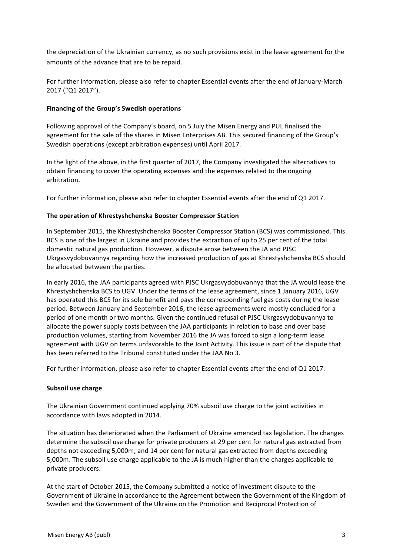the depreciation of the Ukrainian currency, as no such provisions exist in the lease agreement for the amounts of the advance that are to be repaid.

For further information, please also refer to chapter Essential events after the end of January-March 2017 ("Q1 2017").

### Financing of the Group's Swedish operations

Following approval of the Company's board, on 5 July the Misen Energy and PUL finalised the agreement for the sale of the shares in Misen Enterprises AB. This secured financing of the Group's Swedish operations (except arbitration expenses) until April 2017.

In the light of the above, in the first quarter of 2017, the Company investigated the alternatives to obtain financing to cover the operating expenses and the expenses related to the ongoing arbitration. 

For further information, please also refer to chapter Essential events after the end of Q1 2017.

#### **The operation of Khrestyshchenska Booster Compressor Station**

In September 2015, the Khrestyshchenska Booster Compressor Station (BCS) was commissioned. This BCS is one of the largest in Ukraine and provides the extraction of up to 25 per cent of the total domestic natural gas production. However, a dispute arose between the JA and PJSC Ukrgasvydobuvannya regarding how the increased production of gas at Khrestyshchenska BCS should be allocated between the parties.

In early 2016, the JAA participants agreed with PJSC Ukrgasvydobuvannya that the JA would lease the Khrestyshchenska BCS to UGV. Under the terms of the lease agreement, since 1 January 2016, UGV has operated this BCS for its sole benefit and pays the corresponding fuel gas costs during the lease period. Between January and September 2016, the lease agreements were mostly concluded for a period of one month or two months. Given the continued refusal of PJSC Ukrgasvydobuvannya to allocate the power supply costs between the JAA participants in relation to base and over base production volumes, starting from November 2016 the JA was forced to sign a long-term lease agreement with UGV on terms unfavorable to the Joint Activity. This issue is part of the dispute that has been referred to the Tribunal constituted under the JAA No 3.

For further information, please also refer to chapter Essential events after the end of Q1 2017.

#### **Subsoil use charge**

The Ukrainian Government continued applying 70% subsoil use charge to the joint activities in accordance with laws adopted in 2014.

The situation has deteriorated when the Parliament of Ukraine amended tax legislation. The changes determine the subsoil use charge for private producers at 29 per cent for natural gas extracted from depths not exceeding 5,000m, and 14 per cent for natural gas extracted from depths exceeding 5,000m. The subsoil use charge applicable to the JA is much higher than the charges applicable to private producers.

At the start of October 2015, the Company submitted a notice of investment dispute to the Government of Ukraine in accordance to the Agreement between the Government of the Kingdom of Sweden and the Government of the Ukraine on the Promotion and Reciprocal Protection of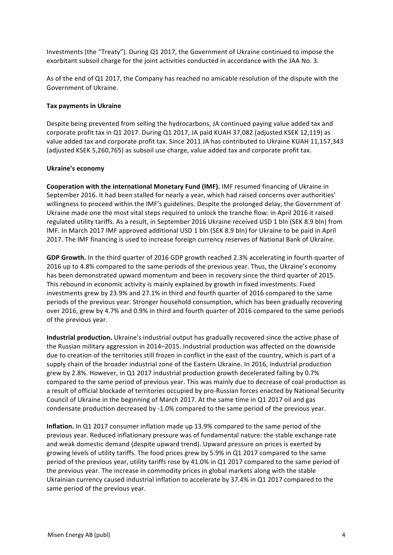Investments (the "Treaty"). During Q1 2017, the Government of Ukraine continued to impose the exorbitant subsoil charge for the joint activities conducted in accordance with the JAA No. 3.

As of the end of Q1 2017, the Company has reached no amicable resolution of the dispute with the Government of Ukraine.

## **Tax payments in Ukraine**

Despite being prevented from selling the hydrocarbons, JA continued paying value added tax and corporate profit tax in Q1 2017. During Q1 2017, JA paid KUAH 37,082 (adjusted KSEK 12,119) as value added tax and corporate profit tax. Since 2011 JA has contributed to Ukraine KUAH 11,157,343 (adjusted KSEK 5,260,765) as subsoil use charge, value added tax and corporate profit tax.

#### **Ukraine's economy**

**Cooperation with the international Monetary Fund (IMF).** IMF resumed financing of Ukraine in September 2016. It had been stalled for nearly a year, which had raised concerns over authorities' willingness to proceed within the IMF's guidelines. Despite the prolonged delay, the Government of Ukraine made one the most vital steps required to unlock the tranche flow: in April 2016 it raised regulated utility tariffs. As a result, in September 2016 Ukraine received USD 1 bln (SEK 8.9 bln) from IMF. In March 2017 IMF approved additional USD 1 bln (SEK 8.9 bln) for Ukraine to be paid in April 2017. The IMF financing is used to increase foreign currency reserves of National Bank of Ukraine.

GDP Growth. In the third quarter of 2016 GDP growth reached 2.3% accelerating in fourth quarter of 2016 up to 4.8% compared to the same periods of the previous year. Thus, the Ukraine's economy has been demonstrated upward momentum and been in recovery since the third quarter of 2015. This rebound in economic activity is mainly explained by growth in fixed investments. Fixed investments grew by 23.9% and 27.1% in third and fourth quarter of 2016 compared to the same periods of the previous year. Stronger household consumption, which has been gradually recovering over 2016, grew by 4.7% and 0.9% in third and fourth quarter of 2016 compared to the same periods of the previous year.

**Industrial production.** Ukraine's industrial output has gradually recovered since the active phase of the Russian military aggression in 2014–2015. Industrial production was affected on the downside due to creation of the territories still frozen in conflict in the east of the country, which is part of a supply chain of the broader industrial zone of the Eastern Ukraine. In 2016, industrial production grew by 2.8%. However, in Q1 2017 industrial production growth decelerated falling by 0.7% compared to the same period of previous year. This was mainly due to decrease of coal production as a result of official blockade of territories occupied by pro-Russian forces enacted by National Security Council of Ukraine in the beginning of March 2017. At the same time in Q1 2017 oil and gas condensate production decreased by -1.0% compared to the same period of the previous year.

**Inflation.** In Q1 2017 consumer inflation made up 13.9% compared to the same period of the previous year. Reduced inflationary pressure was of fundamental nature: the stable exchange rate and weak domestic demand (despite upward trend). Upward pressure on prices is exerted by growing levels of utility tariffs. The food prices grew by 5.9% in Q1 2017 compared to the same period of the previous year, utility tariffs rose by 41.0% in Q1 2017 compared to the same period of the previous year. The increase in commodity prices in global markets along with the stable Ukrainian currency caused industrial inflation to accelerate by 37.4% in Q1 2017 compared to the same period of the previous vear.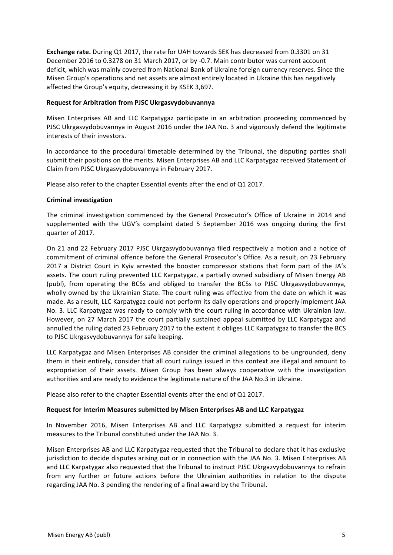**Exchange rate.** During Q1 2017, the rate for UAH towards SEK has decreased from 0.3301 on 31 December 2016 to 0.3278 on 31 March 2017, or by -0.7. Main contributor was current account deficit, which was mainly covered from National Bank of Ukraine foreign currency reserves. Since the Misen Group's operations and net assets are almost entirely located in Ukraine this has negatively affected the Group's equity, decreasing it by KSEK 3,697.

## **Request for Arbitration from PJSC Ukrgasvydobuvannya**

Misen Enterprises AB and LLC Karpatygaz participate in an arbitration proceeding commenced by PJSC Ukrgasvydobuvannya in August 2016 under the JAA No. 3 and vigorously defend the legitimate interests of their investors.

In accordance to the procedural timetable determined by the Tribunal, the disputing parties shall submit their positions on the merits. Misen Enterprises AB and LLC Karpatygaz received Statement of Claim from PJSC Ukrgasvydobuvannya in February 2017.

Please also refer to the chapter Essential events after the end of Q1 2017.

#### **Criminal investigation**

The criminal investigation commenced by the General Prosecutor's Office of Ukraine in 2014 and supplemented with the UGV's complaint dated 5 September 2016 was ongoing during the first quarter of 2017.

On 21 and 22 February 2017 PJSC Ukrgasvydobuvannya filed respectively a motion and a notice of commitment of criminal offence before the General Prosecutor's Office. As a result, on 23 February 2017 a District Court in Kyiv arrested the booster compressor stations that form part of the JA's assets. The court ruling prevented LLC Karpatygaz, a partially owned subsidiary of Misen Energy AB (publ), from operating the BCSs and obliged to transfer the BCSs to PJSC Ukrgasvydobuvannya, wholly owned by the Ukrainian State. The court ruling was effective from the date on which it was made. As a result, LLC Karpatygaz could not perform its daily operations and properly implement JAA No. 3. LLC Karpatygaz was ready to comply with the court ruling in accordance with Ukrainian law. However, on 27 March 2017 the court partially sustained appeal submitted by LLC Karpatygaz and annulled the ruling dated 23 February 2017 to the extent it obliges LLC Karpatygaz to transfer the BCS to PJSC Ukrgasvydobuvannya for safe keeping.

LLC Karpatygaz and Misen Enterprises AB consider the criminal allegations to be ungrounded, deny them in their entirely, consider that all court rulings issued in this context are illegal and amount to expropriation of their assets. Misen Group has been always cooperative with the investigation authorities and are ready to evidence the legitimate nature of the JAA No.3 in Ukraine.

Please also refer to the chapter Essential events after the end of Q1 2017.

## **Request for Interim Measures submitted by Misen Enterprises AB and LLC Karpatygaz**

In November 2016, Misen Enterprises AB and LLC Karpatygaz submitted a request for interim measures to the Tribunal constituted under the JAA No. 3.

Misen Enterprises AB and LLC Karpatygaz requested that the Tribunal to declare that it has exclusive jurisdiction to decide disputes arising out or in connection with the JAA No. 3. Misen Enterprises AB and LLC Karpatygaz also requested that the Tribunal to instruct PJSC Ukrgazvydobuvannya to refrain from any further or future actions before the Ukrainian authorities in relation to the dispute regarding JAA No. 3 pending the rendering of a final award by the Tribunal.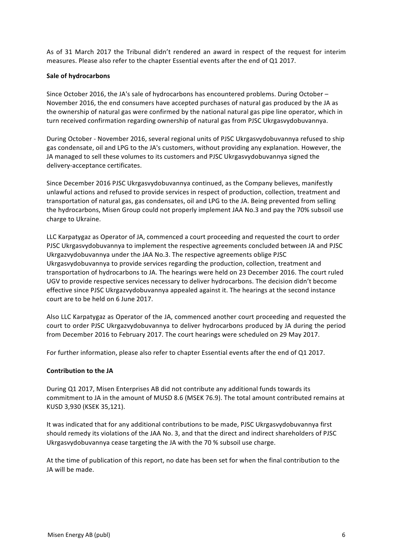As of 31 March 2017 the Tribunal didn't rendered an award in respect of the request for interim measures. Please also refer to the chapter Essential events after the end of Q1 2017.

# **Sale of hydrocarbons**

Since October 2016, the JA's sale of hydrocarbons has encountered problems. During October – November 2016, the end consumers have accepted purchases of natural gas produced by the JA as the ownership of natural gas were confirmed by the national natural gas pipe line operator, which in turn received confirmation regarding ownership of natural gas from PJSC Ukrgasvydobuvannya.

During October - November 2016, several regional units of PJSC Ukrgasvydobuvannya refused to ship gas condensate, oil and LPG to the JA's customers, without providing any explanation. However, the JA managed to sell these volumes to its customers and PJSC Ukrgasvydobuvannya signed the delivery-acceptance certificates.

Since December 2016 PJSC Ukrgasvydobuvannya continued, as the Company believes, manifestly unlawful actions and refused to provide services in respect of production, collection, treatment and transportation of natural gas, gas condensates, oil and LPG to the JA. Being prevented from selling the hydrocarbons, Misen Group could not properly implement JAA No.3 and pay the 70% subsoil use charge to Ukraine.

LLC Karpatygaz as Operator of JA, commenced a court proceeding and requested the court to order PJSC Ukrgasvydobuvannya to implement the respective agreements concluded between JA and PJSC Ukrgazvydobuvannya under the JAA No.3. The respective agreements oblige PJSC Ukrgasvydobuvannya to provide services regarding the production, collection, treatment and transportation of hydrocarbons to JA. The hearings were held on 23 December 2016. The court ruled UGV to provide respective services necessary to deliver hydrocarbons. The decision didn't become effective since PJSC Ukrgazvydobuvannya appealed against it. The hearings at the second instance court are to be held on 6 June 2017.

Also LLC Karpatygaz as Operator of the JA, commenced another court proceeding and requested the court to order PJSC Ukrgazvydobuvannya to deliver hydrocarbons produced by JA during the period from December 2016 to February 2017. The court hearings were scheduled on 29 May 2017.

For further information, please also refer to chapter Essential events after the end of Q1 2017.

## **Contribution to the JA**

During Q1 2017, Misen Enterprises AB did not contribute any additional funds towards its commitment to JA in the amount of MUSD 8.6 (MSEK 76.9). The total amount contributed remains at KUSD 3,930 (KSEK 35,121).

It was indicated that for any additional contributions to be made, PJSC Ukrgasvydobuvannya first should remedy its violations of the JAA No. 3, and that the direct and indirect shareholders of PJSC Ukrgasvydobuvannya cease targeting the JA with the 70 % subsoil use charge.

At the time of publication of this report, no date has been set for when the final contribution to the JA will be made.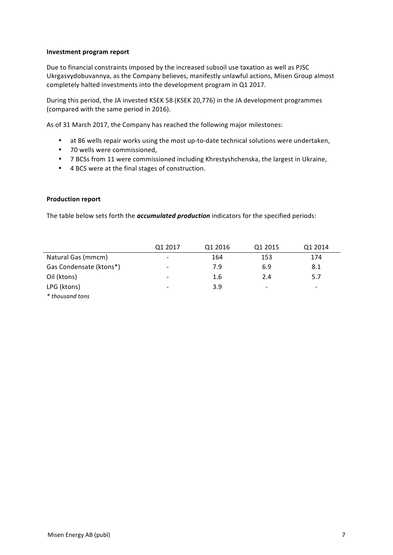#### **Investment program report**

Due to financial constraints imposed by the increased subsoil use taxation as well as PJSC Ukrgasvydobuvannya, as the Company believes, manifestly unlawful actions, Misen Group almost completely halted investments into the development program in Q1 2017.

During this period, the JA invested KSEK 58 (KSEK 20,776) in the JA development programmes (compared with the same period in 2016).

As of 31 March 2017, the Company has reached the following major milestones:

- at 86 wells repair works using the most up-to-date technical solutions were undertaken,
- 70 wells were commissioned,
- 7 BCSs from 11 were commissioned including Khrestyshchenska, the largest in Ukraine,
- 4 BCS were at the final stages of construction.

#### **Production report**

The table below sets forth the *accumulated production* indicators for the specified periods:

|                         | Q1 2017                  | Q1 2016 | Q1 2015 | Q1 2014                  |
|-------------------------|--------------------------|---------|---------|--------------------------|
| Natural Gas (mmcm)      | $\overline{\phantom{0}}$ | 164     | 153     | 174                      |
| Gas Condensate (ktons*) | -                        | 7.9     | 6.9     | 8.1                      |
| Oil (ktons)             | $\overline{\phantom{0}}$ | 1.6     | 2.4     | 5.7                      |
| LPG (ktons)             | -                        | 3.9     | -       | $\overline{\phantom{a}}$ |
| * thousand tons         |                          |         |         |                          |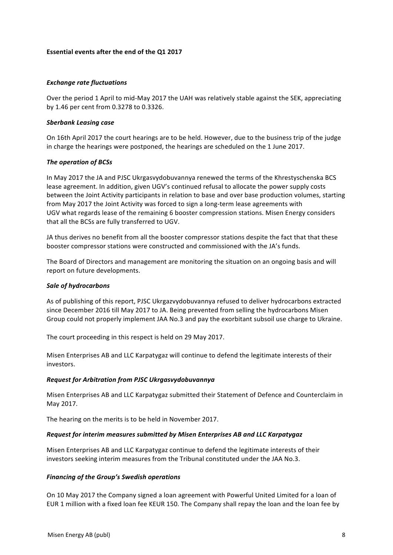## **Essential events after the end of the Q1 2017**

### *Exchange rate fluctuations*

Over the period 1 April to mid-May 2017 the UAH was relatively stable against the SEK, appreciating by 1.46 per cent from 0.3278 to 0.3326.

#### *Sberbank Leasing case*

On 16th April 2017 the court hearings are to be held. However, due to the business trip of the judge in charge the hearings were postponed, the hearings are scheduled on the 1 June 2017.

#### **The operation of BCSs**

In May 2017 the JA and PJSC Ukrgasvydobuvannya renewed the terms of the Khrestyschenska BCS lease agreement. In addition, given UGV's continued refusal to allocate the power supply costs between the Joint Activity participants in relation to base and over base production volumes, starting from May 2017 the Joint Activity was forced to sign a long-term lease agreements with UGV what regards lease of the remaining 6 booster compression stations. Misen Energy considers that all the BCSs are fully transferred to UGV.

JA thus derives no benefit from all the booster compressor stations despite the fact that that these booster compressor stations were constructed and commissioned with the JA's funds.

The Board of Directors and management are monitoring the situation on an ongoing basis and will report on future developments.

#### *Sale of hydrocarbons*

As of publishing of this report, PJSC Ukrgazvydobuvannya refused to deliver hydrocarbons extracted since December 2016 till May 2017 to JA. Being prevented from selling the hydrocarbons Misen Group could not properly implement JAA No.3 and pay the exorbitant subsoil use charge to Ukraine.

The court proceeding in this respect is held on 29 May 2017.

Misen Enterprises AB and LLC Karpatygaz will continue to defend the legitimate interests of their investors. 

#### *Request for Arbitration from PJSC Ukrgasvydobuvannya*

Misen Enterprises AB and LLC Karpatygaz submitted their Statement of Defence and Counterclaim in May 2017. 

The hearing on the merits is to be held in November 2017.

#### *Request for interim measures submitted by Misen Enterprises AB and LLC Karpatygaz*

Misen Enterprises AB and LLC Karpatygaz continue to defend the legitimate interests of their investors seeking interim measures from the Tribunal constituted under the JAA No.3.

## **Financing of the Group's Swedish operations**

On 10 May 2017 the Company signed a loan agreement with Powerful United Limited for a loan of EUR 1 million with a fixed loan fee KEUR 150. The Company shall repay the loan and the loan fee by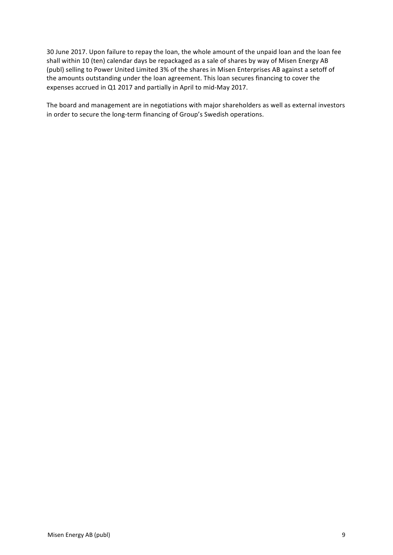30 June 2017. Upon failure to repay the loan, the whole amount of the unpaid loan and the loan fee shall within 10 (ten) calendar days be repackaged as a sale of shares by way of Misen Energy AB (publ) selling to Power United Limited 3% of the shares in Misen Enterprises AB against a setoff of the amounts outstanding under the loan agreement. This loan secures financing to cover the expenses accrued in Q1 2017 and partially in April to mid-May 2017.

The board and management are in negotiations with major shareholders as well as external investors in order to secure the long-term financing of Group's Swedish operations.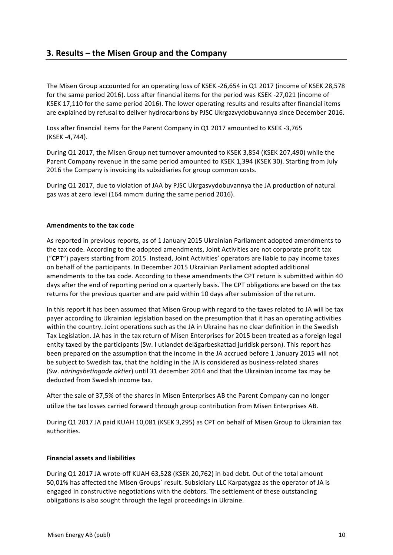# **3. Results – the Misen Group and the Company**

The Misen Group accounted for an operating loss of KSEK -26,654 in Q1 2017 (income of KSEK 28,578 for the same period 2016). Loss after financial items for the period was KSEK -27,021 (income of KSEK 17,110 for the same period 2016). The lower operating results and results after financial items are explained by refusal to deliver hydrocarbons by PJSC Ukrgazvydobuvannya since December 2016.

Loss after financial items for the Parent Company in Q1 2017 amounted to KSEK -3,765 (KSEK -4,744).

During Q1 2017, the Misen Group net turnover amounted to KSEK 3,854 (KSEK 207,490) while the Parent Company revenue in the same period amounted to KSEK 1,394 (KSEK 30). Starting from July 2016 the Company is invoicing its subsidiaries for group common costs.

During Q1 2017, due to violation of JAA by PJSC Ukrgasvydobuvannya the JA production of natural gas was at zero level (164 mmcm during the same period 2016).

## **Amendments to the tax code**

As reported in previous reports, as of 1 January 2015 Ukrainian Parliament adopted amendments to the tax code. According to the adopted amendments, Joint Activities are not corporate profit tax ("CPT") payers starting from 2015. Instead, Joint Activities' operators are liable to pay income taxes on behalf of the participants. In December 2015 Ukrainian Parliament adopted additional amendments to the tax code. According to these amendments the CPT return is submitted within 40 days after the end of reporting period on a quarterly basis. The CPT obligations are based on the tax returns for the previous quarter and are paid within 10 days after submission of the return.

In this report it has been assumed that Misen Group with regard to the taxes related to JA will be tax payer according to Ukrainian legislation based on the presumption that it has an operating activities within the country. Joint operations such as the JA in Ukraine has no clear definition in the Swedish Tax Legislation. JA has in the tax return of Misen Enterprises for 2015 been treated as a foreign legal entity taxed by the participants (Sw. I utlandet delägarbeskattad juridisk person). This report has been prepared on the assumption that the income in the JA accrued before 1 January 2015 will not be subject to Swedish tax, that the holding in the JA is considered as business-related shares (Sw. *näringsbetingade aktier*) until 31 december 2014 and that the Ukrainian income tax may be deducted from Swedish income tax.

After the sale of 37.5% of the shares in Misen Enterprises AB the Parent Company can no longer utilize the tax losses carried forward through group contribution from Misen Enterprises AB.

During Q1 2017 JA paid KUAH 10,081 (KSEK 3,295) as CPT on behalf of Misen Group to Ukrainian tax authorities.

## **Financial assets and liabilities**

During Q1 2017 JA wrote-off KUAH 63,528 (KSEK 20,762) in bad debt. Out of the total amount 50,01% has affected the Misen Groups' result. Subsidiary LLC Karpatygaz as the operator of JA is engaged in constructive negotiations with the debtors. The settlement of these outstanding obligations is also sought through the legal proceedings in Ukraine.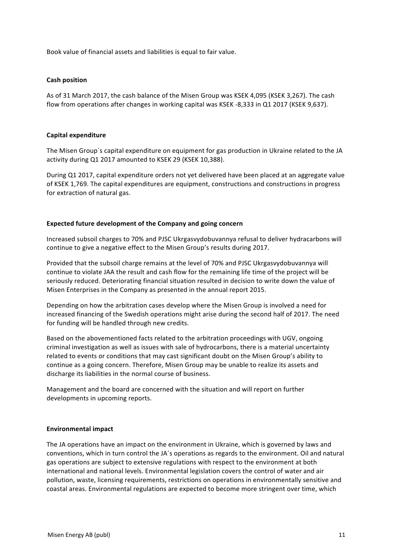Book value of financial assets and liabilities is equal to fair value.

#### **Cash position**

As of 31 March 2017, the cash balance of the Misen Group was KSEK 4,095 (KSEK 3,267). The cash flow from operations after changes in working capital was KSEK -8,333 in Q1 2017 (KSEK 9,637).

#### **Capital expenditure**

The Misen Group's capital expenditure on equipment for gas production in Ukraine related to the JA activity during Q1 2017 amounted to KSEK 29 (KSEK 10,388).

During Q1 2017, capital expenditure orders not yet delivered have been placed at an aggregate value of KSEK 1,769. The capital expenditures are equipment, constructions and constructions in progress for extraction of natural gas.

#### **Expected future development of the Company and going concern**

Increased subsoil charges to 70% and PJSC Ukrgasvydobuvannya refusal to deliver hydracarbons will continue to give a negative effect to the Misen Group's results during 2017.

Provided that the subsoil charge remains at the level of 70% and PJSC Ukrgasvydobuvannya will continue to violate JAA the result and cash flow for the remaining life time of the project will be seriously reduced. Deteriorating financial situation resulted in decision to write down the value of Misen Enterprises in the Company as presented in the annual report 2015.

Depending on how the arbitration cases develop where the Misen Group is involved a need for increased financing of the Swedish operations might arise during the second half of 2017. The need for funding will be handled through new credits.

Based on the abovementioned facts related to the arbitration proceedings with UGV, ongoing criminal investigation as well as issues with sale of hydrocarbons, there is a material uncertainty related to events or conditions that may cast significant doubt on the Misen Group's ability to continue as a going concern. Therefore, Misen Group may be unable to realize its assets and discharge its liabilities in the normal course of business.

Management and the board are concerned with the situation and will report on further developments in upcoming reports.

#### **Environmental impact**

The JA operations have an impact on the environment in Ukraine, which is governed by laws and conventions, which in turn control the JA's operations as regards to the environment. Oil and natural gas operations are subject to extensive regulations with respect to the environment at both international and national levels. Environmental legislation covers the control of water and air pollution, waste, licensing requirements, restrictions on operations in environmentally sensitive and coastal areas. Environmental regulations are expected to become more stringent over time, which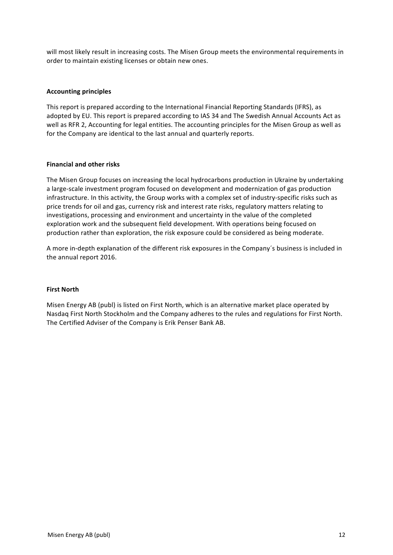will most likely result in increasing costs. The Misen Group meets the environmental requirements in order to maintain existing licenses or obtain new ones.

### **Accounting principles**

This report is prepared according to the International Financial Reporting Standards (IFRS), as adopted by EU. This report is prepared according to IAS 34 and The Swedish Annual Accounts Act as well as RFR 2, Accounting for legal entities. The accounting principles for the Misen Group as well as for the Company are identical to the last annual and quarterly reports.

#### **Financial and other risks**

The Misen Group focuses on increasing the local hydrocarbons production in Ukraine by undertaking a large-scale investment program focused on development and modernization of gas production infrastructure. In this activity, the Group works with a complex set of industry-specific risks such as price trends for oil and gas, currency risk and interest rate risks, regulatory matters relating to investigations, processing and environment and uncertainty in the value of the completed exploration work and the subsequent field development. With operations being focused on production rather than exploration, the risk exposure could be considered as being moderate.

A more in-depth explanation of the different risk exposures in the Company's business is included in the annual report 2016.

#### **First North**

Misen Energy AB (publ) is listed on First North, which is an alternative market place operated by Nasdaq First North Stockholm and the Company adheres to the rules and regulations for First North. The Certified Adviser of the Company is Erik Penser Bank AB.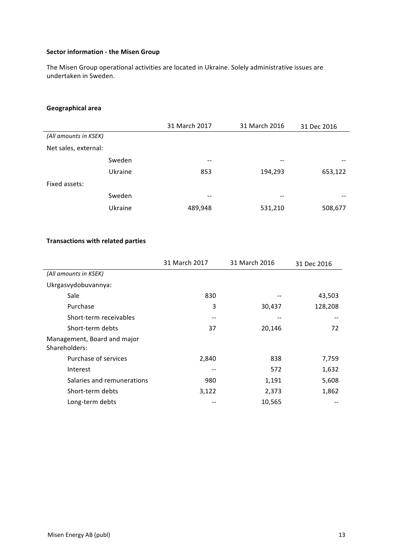# **Sector information - the Misen Group**

The Misen Group operational activities are located in Ukraine. Solely administrative issues are undertaken in Sweden.

# **Geographical area**

|                       |         | 31 March 2017 | 31 March 2016 | 31 Dec 2016 |
|-----------------------|---------|---------------|---------------|-------------|
| (All amounts in KSEK) |         |               |               |             |
| Net sales, external:  |         |               |               |             |
|                       | Sweden  | $- -$         | --            | --          |
|                       | Ukraine | 853           | 194,293       | 653,122     |
| Fixed assets:         |         |               |               |             |
|                       | Sweden  | --            | --            |             |
|                       | Ukraine | 489,948       | 531,210       | 508,677     |

### **Transactions with related parties**

|                                              | 31 March 2017 | 31 March 2016 | 31 Dec 2016 |
|----------------------------------------------|---------------|---------------|-------------|
| (All amounts in KSEK)                        |               |               |             |
| Ukrgasvydobuvannya:                          |               |               |             |
| Sale                                         | 830           |               | 43,503      |
| Purchase                                     | 3             | 30,437        | 128,208     |
| Short-term receivables                       | --            | --            | $ -$        |
| Short-term debts                             | 37            | 20,146        | 72          |
| Management, Board and major<br>Shareholders: |               |               |             |
| Purchase of services                         | 2,840         | 838           | 7,759       |
| Interest                                     | --            | 572           | 1,632       |
| Salaries and remunerations                   | 980           | 1,191         | 5,608       |
| Short-term debts                             | 3,122         | 2,373         | 1,862       |
| Long-term debts                              |               | 10,565        |             |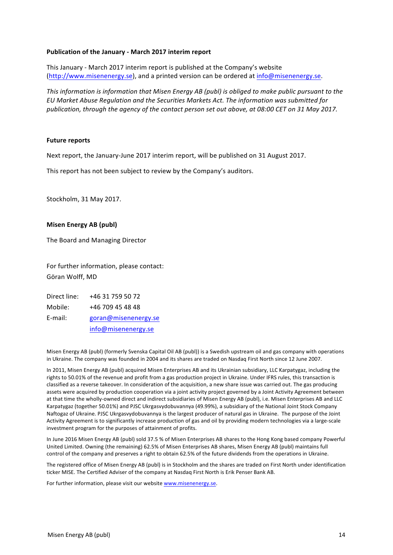#### Publication of the January - March 2017 interim report

This January - March 2017 interim report is published at the Company's website (http://www.misenenergy.se), and a printed version can be ordered at info@misenenergy.se.

*This information is information that Misen Energy AB (publ) is obliged to make public pursuant to the EU Market Abuse Regulation and the Securities Markets Act. The information was submitted for*  publication, through the agency of the contact person set out above, at 08:00 CET on 31 May 2017.

#### **Future reports**

Next report, the January-June 2017 interim report, will be published on 31 August 2017.

This report has not been subject to review by the Company's auditors.

Stockholm, 31 May 2017.

#### **Misen Energy AB (publ)**

The Board and Managing Director

For further information, please contact: Göran Wolff, MD

Direct line: +46 31 759 50 72 Mobile: +46 709 45 48 48 E-mail: goran@misenenergy.se info@misenenergy.se

Misen Energy AB (publ) (formerly Svenska Capital Oil AB (publ)) is a Swedish upstream oil and gas company with operations in Ukraine. The company was founded in 2004 and its shares are traded on Nasdaq First North since 12 June 2007.

In 2011, Misen Energy AB (publ) acquired Misen Enterprises AB and its Ukrainian subsidiary, LLC Karpatygaz, including the rights to 50.01% of the revenue and profit from a gas production project in Ukraine. Under IFRS rules, this transaction is classified as a reverse takeover. In consideration of the acquisition, a new share issue was carried out. The gas producing assets were acquired by production cooperation via a joint activity project governed by a Joint Activity Agreement between at that time the wholly-owned direct and indirect subsidiaries of Misen Energy AB (publ), i.e. Misen Enterprises AB and LLC Karpatygaz (together 50.01%) and PJSC Ukrgasvydobuvannya (49.99%), a subsidiary of the National Joint Stock Company Naftogaz of Ukraine. PJSC Ukrgasvydobuvannya is the largest producer of natural gas in Ukraine. The purpose of the Joint Activity Agreement is to significantly increase production of gas and oil by providing modern technologies via a large-scale investment program for the purposes of attainment of profits.

In June 2016 Misen Energy AB (publ) sold 37.5 % of Misen Enterprises AB shares to the Hong Kong based company Powerful United Limited. Owning (the remaining) 62.5% of Misen Enterprises AB shares, Misen Energy AB (publ) maintains full control of the company and preserves a right to obtain 62.5% of the future dividends from the operations in Ukraine.

The registered office of Misen Energy AB (publ) is in Stockholm and the shares are traded on First North under identification ticker MISE. The Certified Adviser of the company at Nasdaq First North is Erik Penser Bank AB.

For further information, please visit our website www.misenenergy.se.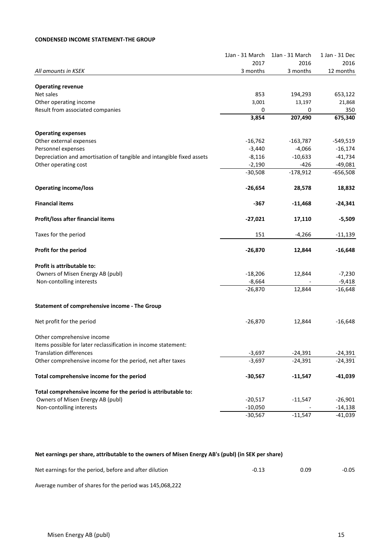### **CONDENSED INCOME STATEMENT-THE GROUP**

| 2017<br>2016<br>3 months<br>3 months<br>All amounts in KSEK<br><b>Operating revenue</b><br>Net sales<br>853<br>194,293<br>Other operating income<br>3,001<br>13,197<br>Result from associated companies<br>0<br>0<br>3,854<br>207,490 | 2016<br>12 months<br>653,122<br>21,868<br>350<br>675,340<br>$-549,519$<br>$-16,174$<br>$-41,734$<br>$-49,081$<br>$-656,508$ |
|---------------------------------------------------------------------------------------------------------------------------------------------------------------------------------------------------------------------------------------|-----------------------------------------------------------------------------------------------------------------------------|
|                                                                                                                                                                                                                                       |                                                                                                                             |
|                                                                                                                                                                                                                                       |                                                                                                                             |
|                                                                                                                                                                                                                                       |                                                                                                                             |
|                                                                                                                                                                                                                                       |                                                                                                                             |
|                                                                                                                                                                                                                                       |                                                                                                                             |
|                                                                                                                                                                                                                                       |                                                                                                                             |
|                                                                                                                                                                                                                                       |                                                                                                                             |
| <b>Operating expenses</b>                                                                                                                                                                                                             |                                                                                                                             |
| Other external expenses<br>$-16,762$<br>$-163,787$                                                                                                                                                                                    |                                                                                                                             |
| Personnel expenses<br>$-3,440$<br>$-4,066$                                                                                                                                                                                            |                                                                                                                             |
| Depreciation and amortisation of tangible and intangible fixed assets<br>$-8,116$<br>$-10,633$                                                                                                                                        |                                                                                                                             |
| $-426$<br>Other operating cost<br>$-2,190$                                                                                                                                                                                            |                                                                                                                             |
| $-30,508$<br>$-178,912$                                                                                                                                                                                                               |                                                                                                                             |
| <b>Operating income/loss</b><br>28,578<br>$-26,654$                                                                                                                                                                                   | 18,832                                                                                                                      |
| <b>Financial items</b><br>-367<br>$-11,468$                                                                                                                                                                                           | $-24,341$                                                                                                                   |
| Profit/loss after financial items<br>$-27,021$<br>17,110                                                                                                                                                                              | $-5,509$                                                                                                                    |
| Taxes for the period<br>151<br>$-4,266$                                                                                                                                                                                               | $-11,139$                                                                                                                   |
| Profit for the period<br>$-26,870$<br>12,844                                                                                                                                                                                          | $-16,648$                                                                                                                   |
| Profit is attributable to:                                                                                                                                                                                                            |                                                                                                                             |
| Owners of Misen Energy AB (publ)<br>$-18,206$<br>12,844                                                                                                                                                                               | $-7,230$                                                                                                                    |
| $-8,664$<br>Non-contolling interests                                                                                                                                                                                                  | $-9,418$                                                                                                                    |
| $-26,870$<br>12,844                                                                                                                                                                                                                   | $-16,648$                                                                                                                   |
| <b>Statement of comprehensive income - The Group</b>                                                                                                                                                                                  |                                                                                                                             |
| Net profit for the period<br>$-26,870$<br>12,844                                                                                                                                                                                      | $-16,648$                                                                                                                   |
| Other comprehensive income                                                                                                                                                                                                            |                                                                                                                             |
| Items possible for later reclassification in income statement:                                                                                                                                                                        |                                                                                                                             |
| <b>Translation differences</b><br>$-3,697$<br>$-24,391$                                                                                                                                                                               | $-24,391$                                                                                                                   |
| $-3,697$<br>$-24,391$<br>Other comprehensive income for the period, net after taxes                                                                                                                                                   | $-24,391$                                                                                                                   |
| Total comprehensive income for the period<br>$-30,567$<br>$-11,547$                                                                                                                                                                   | -41,039                                                                                                                     |
| Total comprehensive income for the period is attributable to:                                                                                                                                                                         |                                                                                                                             |
| Owners of Misen Energy AB (publ)<br>$-20,517$<br>$-11,547$                                                                                                                                                                            | $-26,901$                                                                                                                   |
| Non-contolling interests<br>$-10,050$                                                                                                                                                                                                 | $-14,138$                                                                                                                   |
| $-30,567$<br>$-11,547$                                                                                                                                                                                                                | $-41,039$                                                                                                                   |

#### Net earnings per share, attributable to the owners of Misen Energy AB's (publ) (in SEK per share)

| Net earnings for the period, before and after dilution | 0.09 | $-0.05$ |
|--------------------------------------------------------|------|---------|
|                                                        |      |         |

Average number of shares for the period was 145,068,222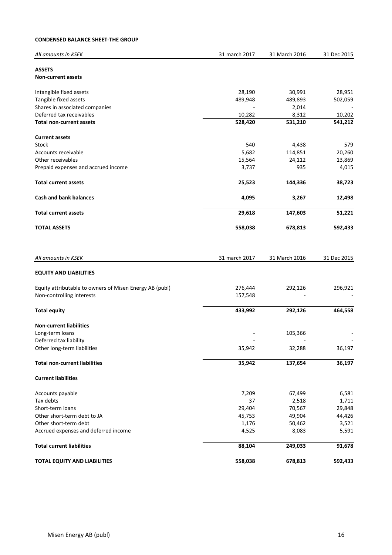### **CONDENSED BALANCE SHEET-THE GROUP**

| All amounts in KSEK                                     | 31 march 2017 | 31 March 2016 | 31 Dec 2015 |
|---------------------------------------------------------|---------------|---------------|-------------|
| <b>ASSETS</b>                                           |               |               |             |
| <b>Non-current assets</b>                               |               |               |             |
| Intangible fixed assets                                 | 28,190        | 30,991        | 28,951      |
| Tangible fixed assets                                   | 489,948       | 489,893       | 502,059     |
| Shares in associated companies                          |               | 2,014         |             |
| Deferred tax receivables                                | 10,282        | 8,312         | 10,202      |
| <b>Total non-current assets</b>                         | 528,420       | 531,210       | 541,212     |
| <b>Current assets</b>                                   |               |               |             |
| Stock                                                   | 540           | 4,438         | 579         |
| Accounts receivable                                     | 5,682         | 114,851       | 20,260      |
| Other receivables                                       | 15,564        | 24,112        | 13,869      |
| Prepaid expenses and accrued income                     | 3,737         | 935           | 4,015       |
| <b>Total current assets</b>                             | 25,523        | 144,336       | 38,723      |
| <b>Cash and bank balances</b>                           | 4,095         | 3,267         | 12,498      |
| <b>Total current assets</b>                             | 29,618        | 147,603       | 51,221      |
| <b>TOTAL ASSETS</b>                                     | 558,038       | 678,813       | 592,433     |
| All amounts in KSEK                                     | 31 march 2017 | 31 March 2016 | 31 Dec 2015 |
|                                                         |               |               |             |
| <b>EQUITY AND LIABILITIES</b>                           |               |               |             |
| Equity attributable to owners of Misen Energy AB (publ) | 276,444       | 292,126       | 296,921     |
| Non-controlling interests                               | 157,548       |               |             |
| <b>Total equity</b>                                     | 433,992       | 292,126       | 464,558     |
| <b>Non-current liabilities</b>                          |               |               |             |
| Long-term loans                                         |               | 105,366       |             |
| Deferred tax liability                                  |               |               |             |
| Other long-term liabilities                             | 35,942        | 32,288        | 36,197      |
| <b>Total non-current liabilities</b>                    | 35,942        | 137,654       | 36,197      |
| <b>Current liabilities</b>                              |               |               |             |
| Accounts payable                                        | 7,209         | 67,499        | 6,581       |
| Tax debts                                               | 37            | 2,518         | 1,711       |
| Short-term loans                                        | 29,404        | 70,567        | 29,848      |
| Other short-term debt to JA                             | 45,753        | 49,904        | 44,426      |
| Other short-term debt                                   | 1,176         | 50,462        | 3,521       |
| Accrued expenses and deferred income                    | 4,525         | 8,083         | 5,591       |
| <b>Total current liabilities</b>                        | 88,104        | 249,033       | 91,678      |
| <b>TOTAL EQUITY AND LIABILITIES</b>                     | 558,038       | 678,813       | 592,433     |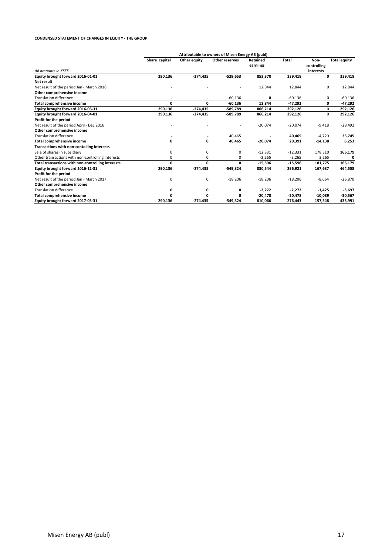#### **CONDENSED STATEMENT OF CHANGES IN EQUITY - THE GROUP**

|                                                   |               |              | Attributable to owners of Misen Energy AB (publ) |                      |           |                                  |                     |
|---------------------------------------------------|---------------|--------------|--------------------------------------------------|----------------------|-----------|----------------------------------|---------------------|
| All amounts in KSFK                               | Share capital | Other equity | Other reserves                                   | Retained<br>earnings | Total     | Non-<br>controlling<br>interests | <b>Total equity</b> |
| Equity brought forward 2016-01-01                 | 290,136       | $-274,435$   | $-529,653$                                       | 853,370              | 339,418   | 0                                | 339,418             |
| Net result                                        |               |              |                                                  |                      |           |                                  |                     |
| Net result of the period Jan - March 2016         |               |              |                                                  | 12,844               | 12,844    | 0                                | 12,844              |
| Other comprehensive income                        |               |              |                                                  |                      |           |                                  |                     |
| <b>Translation difference</b>                     |               |              |                                                  |                      |           |                                  |                     |
|                                                   |               |              | $-60,136$                                        | 0                    | $-60,136$ | 0                                | $-60,136$           |
| <b>Total comprehensive income</b>                 | 0             | 0            | $-60,136$                                        | 12,844               | $-47.292$ | 0                                | $-47,292$           |
| Equity brought forward 2016-03-31                 | 290,136       | $-274,435$   | -589,789                                         | 866,214              | 292,126   | 0                                | 292,126             |
| Equity brought forward 2016-04-01                 | 290,136       | -274,435     | -589,789                                         | 866,214              | 292,126   | 0                                | 292,126             |
| Profit for the period                             |               |              |                                                  |                      |           |                                  |                     |
| Net result of the period April - Dec 2016         |               |              |                                                  | $-20,074$            | $-20,074$ | $-9,418$                         | $-29,492$           |
| Other comprehensive income                        |               |              |                                                  |                      |           |                                  |                     |
| <b>Translation difference</b>                     | ٠             | ٠            | 40,465                                           |                      | 40,465    | $-4,720$                         | 35,745              |
| <b>Total comprehensive income</b>                 | 0             | 0            | 40,465                                           | $-20,074$            | 20,391    | $-14,138$                        | 6,253               |
| Transactions with non-contolling interests        |               |              |                                                  |                      |           |                                  |                     |
| Sale of shares in subsidiary                      | 0             | 0            | 0                                                | $-12,331$            | $-12,331$ | 178,510                          | 166,179             |
| Other transactions with non-controlling interests | $\Omega$      | 0            | 0                                                | $-3,265$             | $-3,265$  | 3,265                            | 0                   |
| Total transactions with non-controlling interests | 0             | 0            | 0                                                | $-15,596$            | $-15,596$ | 181,775                          | 166,179             |
| Equity brought forward 2016-12-31                 | 290,136       | $-274,435$   | $-549,324$                                       | 830,544              | 296,921   | 167,637                          | 464,558             |
| Profit for the period                             |               |              |                                                  |                      |           |                                  |                     |
| Net result of the period Jan - March 2017         | 0             | 0            | $-18,206$                                        | $-18,206$            | $-18,206$ | $-8,664$                         | $-26,870$           |
| Other comprehensive income                        |               |              |                                                  |                      |           |                                  |                     |
| <b>Translation difference</b>                     | 0             | 0            | 0                                                | $-2,272$             | $-2,272$  | $-1,425$                         | -3,697              |
| <b>Total comprehensive income</b>                 | 0             | 0            | 0                                                | $-20,478$            | $-20,478$ | $-10,089$                        | -30,567             |
| Equity brought forward 2017-03-31                 | 290,136       | $-274,435$   | -549,324                                         | 810.066              | 276,443   | 157,548                          | 433,991             |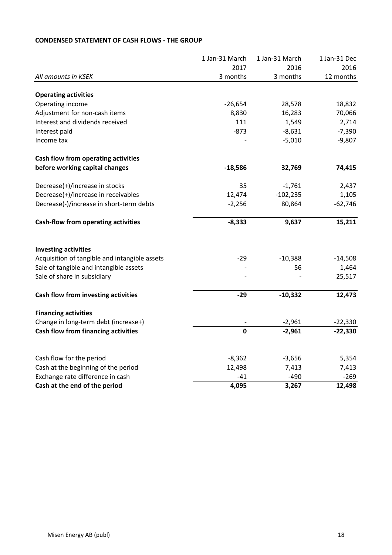|                                               | 1 Jan-31 March | 1 Jan-31 March | 1 Jan-31 Dec |
|-----------------------------------------------|----------------|----------------|--------------|
|                                               | 2017           | 2016           | 2016         |
| All amounts in KSEK                           | 3 months       | 3 months       | 12 months    |
| <b>Operating activities</b>                   |                |                |              |
| Operating income                              | $-26,654$      | 28,578         | 18,832       |
| Adjustment for non-cash items                 | 8,830          | 16,283         | 70,066       |
| Interest and dividends received               | 111            | 1,549          | 2,714        |
| Interest paid                                 | $-873$         | $-8,631$       | $-7,390$     |
| Income tax                                    |                | $-5,010$       | $-9,807$     |
| Cash flow from operating activities           |                |                |              |
| before working capital changes                | $-18,586$      | 32,769         | 74,415       |
| Decrease(+)/increase in stocks                | 35             | $-1,761$       | 2,437        |
| Decrease(+)/increase in receivables           | 12,474         | $-102,235$     | 1,105        |
| Decrease(-)/increase in short-term debts      | $-2,256$       | 80,864         | $-62,746$    |
| Cash-flow from operating activities           | $-8,333$       | 9,637          | 15,211       |
| <b>Investing activities</b>                   |                |                |              |
| Acquisition of tangible and intangible assets | $-29$          | $-10,388$      | $-14,508$    |
| Sale of tangible and intangible assets        |                | 56             | 1,464        |
| Sale of share in subsidiary                   |                |                | 25,517       |
| Cash flow from investing activities           | $-29$          | $-10,332$      | 12,473       |
| <b>Financing activities</b>                   |                |                |              |
| Change in long-term debt (increase+)          |                | $-2,961$       | $-22,330$    |
| Cash flow from financing activities           | $\mathbf 0$    | $-2,961$       | $-22,330$    |
|                                               |                |                |              |
| Cash flow for the period                      | $-8,362$       | $-3,656$       | 5,354        |
| Cash at the beginning of the period           | 12,498         | 7,413          | 7,413        |
| Exchange rate difference in cash              | $-41$          | $-490$         | $-269$       |
| Cash at the end of the period                 | 4,095          | 3,267          | 12,498       |

# **CONDENSED STATEMENT OF CASH FLOWS - THE GROUP**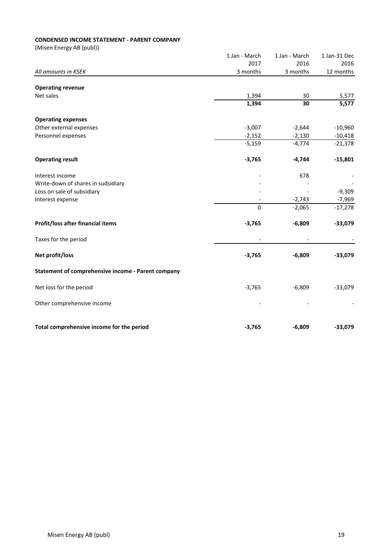# **CONDENSED INCOME STATEMENT - PARENT COMPANY**

|                                                    | 1 Jan - March | 1 Jan - March | 1 Jan-31 Dec       |
|----------------------------------------------------|---------------|---------------|--------------------|
|                                                    | 2017          | 2016          | 2016               |
| All amounts in KSEK                                | 3 months      | 3 months      | 12 months          |
| <b>Operating revenue</b>                           |               |               |                    |
| Net sales                                          | 1,394         | 30            | 5,577              |
|                                                    | 1,394         | 30            | $\overline{5,577}$ |
| <b>Operating expenses</b>                          |               |               |                    |
| Other external expenses                            | $-3,007$      | $-2,644$      | $-10,960$          |
| Personnel expenses                                 | $-2,152$      | $-2,130$      | $-10,418$          |
|                                                    | $-5,159$      | $-4,774$      | $-21,378$          |
| <b>Operating result</b>                            | $-3,765$      | $-4,744$      | $-15,801$          |
| Interest income                                    |               | 678           |                    |
| Write-down of shares in sudsidiary                 |               |               |                    |
| Loss on sale of subsidiary                         |               |               | $-9,309$           |
| Interest expense                                   |               | $-2,743$      | $-7,969$           |
|                                                    | $\mathbf 0$   | $-2,065$      | $-17,278$          |
| Profit/loss after financial items                  | $-3,765$      | $-6,809$      | $-33,079$          |
| Taxes for the period                               |               |               |                    |
| Net profit/loss                                    | $-3,765$      | $-6,809$      | $-33,079$          |
| Statement of comprehensive income - Parent company |               |               |                    |
| Net loss for the period                            | $-3,765$      | $-6,809$      | $-33,079$          |
| Other comprehensive income                         |               |               |                    |
| Total comprehensive income for the period          | $-3,765$      | $-6,809$      | $-33,079$          |
|                                                    |               |               |                    |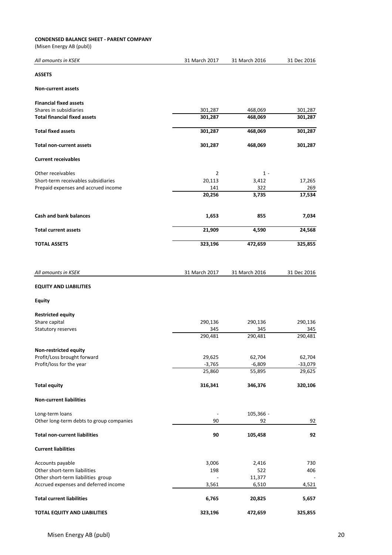#### **CONDENSED BALANCE SHEET - PARENT COMPANY**

| All amounts in KSEK                      | 31 March 2017  | 31 March 2016 | 31 Dec 2016 |
|------------------------------------------|----------------|---------------|-------------|
| <b>ASSETS</b>                            |                |               |             |
| <b>Non-current assets</b>                |                |               |             |
| <b>Financial fixed assets</b>            |                |               |             |
| Shares in subsidiaries                   | 301,287        | 468,069       | 301,287     |
| <b>Total financial fixed assets</b>      | 301,287        | 468,069       | 301,287     |
| <b>Total fixed assets</b>                | 301,287        | 468,069       | 301,287     |
| <b>Total non-current assets</b>          | 301,287        | 468,069       | 301,287     |
| <b>Current receivables</b>               |                |               |             |
|                                          |                |               |             |
| Other receivables                        | $\overline{2}$ | $1 -$         |             |
| Short-term receivables subsidiaries      | 20,113         | 3,412         | 17,265      |
| Prepaid expenses and accrued income      | 141            | 322           | 269         |
|                                          | 20,256         | 3,735         | 17,534      |
| <b>Cash and bank balances</b>            | 1,653          | 855           | 7,034       |
| <b>Total current assets</b>              | 21,909         | 4,590         | 24,568      |
| <b>TOTAL ASSETS</b>                      | 323,196        | 472,659       | 325,855     |
|                                          |                |               |             |
| All amounts in KSEK                      | 31 March 2017  | 31 March 2016 | 31 Dec 2016 |
| <b>EQUITY AND LIABILITIES</b>            |                |               |             |
| Equity                                   |                |               |             |
| <b>Restricted equity</b>                 |                |               |             |
| Share capital                            | 290,136        | 290,136       | 290,136     |
|                                          |                |               |             |
| Statutory reserves                       | 345            | 345           | 345         |
|                                          | 290,481        | 290,481       | 290,481     |
| Non-restricted equity                    |                |               |             |
| Profit/Loss brought forward              | 29,625         | 62,704        | 62,704      |
| Profit/loss for the year                 | $-3,765$       | $-6,809$      | $-33,079$   |
|                                          | 25,860         | 55,895        | 29,625      |
| <b>Total equity</b>                      | 316,341        | 346,376       | 320,106     |
| <b>Non-current liabilities</b>           |                |               |             |
| Long-term loans                          |                | 105,366 -     |             |
| Other long-term debts to group companies | 90             | 92            | 92          |
|                                          |                |               |             |
| <b>Total non-current liabilities</b>     | 90             | 105,458       | 92          |
| <b>Current liabilities</b>               |                |               |             |
| Accounts payable                         | 3,006          | 2,416         | 730         |
| Other short-term liabilities             | 198            | 522           | 406         |
| Other short-term liabilities group       |                | 11,377        |             |
| Accrued expenses and deferred income     | 3,561          | 6,510         | 4,521       |
| <b>Total current liabilities</b>         | 6,765          | 20,825        | 5,657       |
| TOTAL EQUITY AND LIABILITIES             | 323,196        | 472,659       | 325,855     |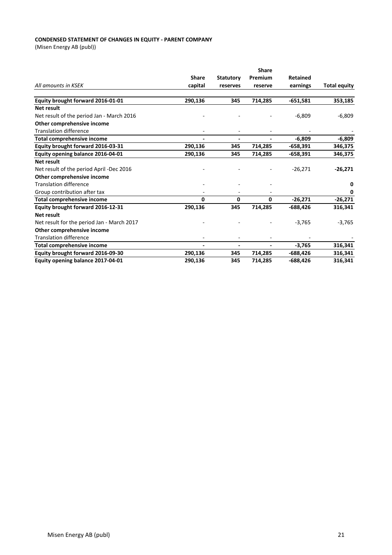#### **CONDENSED STATEMENT OF CHANGES IN EQUITY - PARENT COMPANY**

|                                            |                |                  | Share   |            |                     |
|--------------------------------------------|----------------|------------------|---------|------------|---------------------|
|                                            | <b>Share</b>   | <b>Statutory</b> | Premium | Retained   |                     |
| All amounts in KSEK                        | capital        | reserves         | reserve | earnings   | <b>Total equity</b> |
| Equity brought forward 2016-01-01          | 290,136        | 345              | 714,285 | $-651,581$ | 353,185             |
| Net result                                 |                |                  |         |            |                     |
| Net result of the period Jan - March 2016  |                |                  |         | $-6,809$   | $-6,809$            |
| Other comprehensive income                 |                |                  |         |            |                     |
| <b>Translation difference</b>              |                |                  |         |            |                     |
| <b>Total comprehensive income</b>          | $\blacksquare$ |                  |         | $-6.809$   | $-6,809$            |
| Equity brought forward 2016-03-31          | 290,136        | 345              | 714,285 | $-658,391$ | 346,375             |
| Equity opening balance 2016-04-01          | 290,136        | 345              | 714,285 | $-658,391$ | 346,375             |
| <b>Net result</b>                          |                |                  |         |            |                     |
| Net result of the period April -Dec 2016   |                |                  |         | $-26,271$  | $-26,271$           |
| Other comprehensive income                 |                |                  |         |            |                     |
| <b>Translation difference</b>              |                |                  |         |            | 0                   |
| Group contribution after tax               |                |                  |         |            | 0                   |
| <b>Total comprehensive income</b>          | 0              | 0                | 0       | $-26,271$  | $-26,271$           |
| Equity brought forward 2016-12-31          | 290,136        | 345              | 714,285 | $-688,426$ | 316,341             |
| <b>Net result</b>                          |                |                  |         |            |                     |
| Net result for the period Jan - March 2017 |                |                  |         | $-3,765$   | $-3,765$            |
| Other comprehensive income                 |                |                  |         |            |                     |
| <b>Translation difference</b>              |                |                  |         |            |                     |
| <b>Total comprehensive income</b>          |                |                  |         | $-3,765$   | 316,341             |
| Equity brought forward 2016-09-30          | 290,136        | 345              | 714,285 | -688,426   | 316,341             |
| Equity opening balance 2017-04-01          | 290,136        | 345              | 714,285 | -688,426   | 316,341             |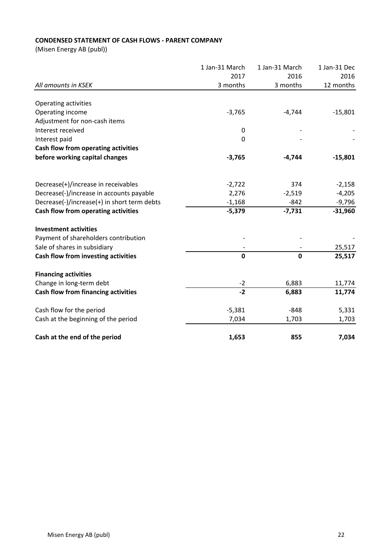# **CONDENSED STATEMENT OF CASH FLOWS - PARENT COMPANY**

|                                             | 1 Jan-31 March | 1 Jan-31 March | 1 Jan-31 Dec |
|---------------------------------------------|----------------|----------------|--------------|
|                                             | 2017           | 2016           | 2016         |
| All amounts in KSEK                         | 3 months       | 3 months       | 12 months    |
|                                             |                |                |              |
| Operating activities                        |                |                |              |
| Operating income                            | $-3,765$       | $-4,744$       | $-15,801$    |
| Adjustment for non-cash items               |                |                |              |
| Interest received                           | $\pmb{0}$      |                |              |
| Interest paid                               | 0              |                |              |
| Cash flow from operating activities         |                |                |              |
| before working capital changes              | $-3,765$       | $-4,744$       | $-15,801$    |
| Decrease(+)/increase in receivables         | $-2,722$       | 374            | $-2,158$     |
| Decrease(-)/increase in accounts payable    | 2,276          | $-2,519$       | $-4,205$     |
| Decrease(-)/increase(+) in short term debts | $-1,168$       | $-842$         | $-9,796$     |
| Cash flow from operating activities         | $-5,379$       | $-7,731$       | $-31,960$    |
|                                             |                |                |              |
| <b>Investment activities</b>                |                |                |              |
| Payment of shareholders contribution        |                |                |              |
| Sale of shares in subsidiary                |                |                | 25,517       |
| Cash flow from investing activities         | $\mathbf 0$    | $\mathbf{0}$   | 25,517       |
| <b>Financing activities</b>                 |                |                |              |
| Change in long-term debt                    | $-2$           | 6,883          | 11,774       |
| Cash flow from financing activities         | $-2$           | 6,883          | 11,774       |
| Cash flow for the period                    | $-5,381$       | $-848$         | 5,331        |
| Cash at the beginning of the period         | 7,034          | 1,703          | 1,703        |
| Cash at the end of the period               | 1,653          | 855            | 7,034        |